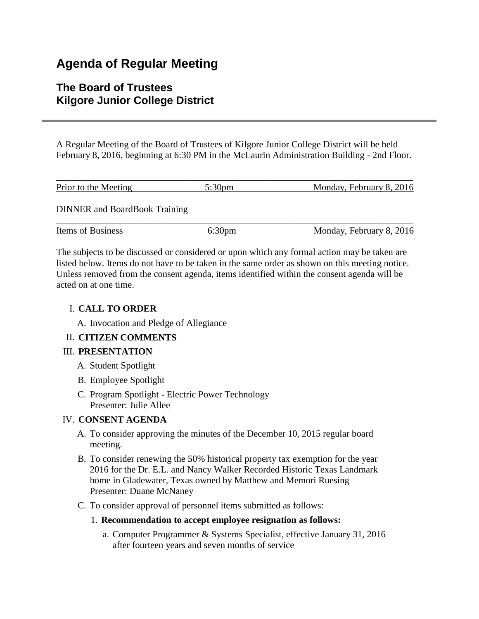# **Agenda of Regular Meeting**

## **The Board of Trustees Kilgore Junior College District**

A Regular Meeting of the Board of Trustees of Kilgore Junior College District will be held February 8, 2016, beginning at 6:30 PM in the McLaurin Administration Building - 2nd Floor.

| Prior to the Meeting                 | 5:30 <sub>pm</sub> | Monday, February 8, 2016 |
|--------------------------------------|--------------------|--------------------------|
| <b>DINNER</b> and BoardBook Training |                    |                          |
| <b>Items of Business</b>             | 6:30pm             | Monday, February 8, 2016 |

The subjects to be discussed or considered or upon which any formal action may be taken are listed below. Items do not have to be taken in the same order as shown on this meeting notice. Unless removed from the consent agenda, items identified within the consent agenda will be acted on at one time.

## I. **CALL TO ORDER**

A. Invocation and Pledge of Allegiance

## II. **CITIZEN COMMENTS**

## III. **PRESENTATION**

- A. Student Spotlight
- B. Employee Spotlight
- C. Program Spotlight Electric Power Technology Presenter: Julie Allee

## IV. **CONSENT AGENDA**

- A. To consider approving the minutes of the December 10, 2015 regular board meeting.
- B. To consider renewing the 50% historical property tax exemption for the year 2016 for the Dr. E.L. and Nancy Walker Recorded Historic Texas Landmark home in Gladewater, Texas owned by Matthew and Memori Ruesing Presenter: Duane McNaney
- C. To consider approval of personnel items submitted as follows:

### 1. **Recommendation to accept employee resignation as follows:**

a. Computer Programmer & Systems Specialist, effective January 31, 2016 after fourteen years and seven months of service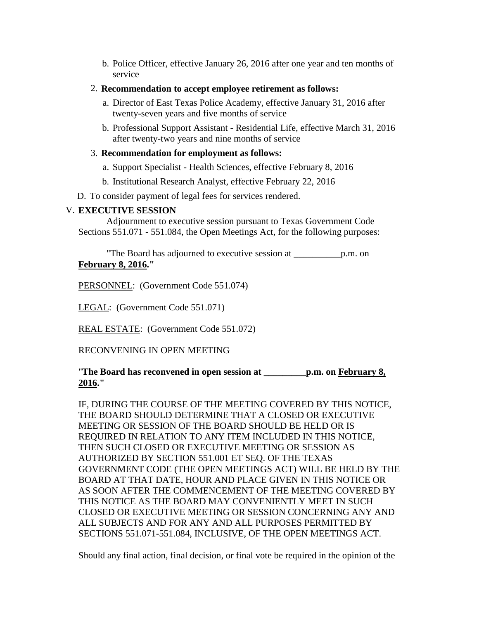- b. Police Officer, effective January 26, 2016 after one year and ten months of service
- 2. **Recommendation to accept employee retirement as follows:**
	- a. Director of East Texas Police Academy, effective January 31, 2016 after twenty-seven years and five months of service
	- b. Professional Support Assistant Residential Life, effective March 31, 2016 after twenty-two years and nine months of service

## 3. **Recommendation for employment as follows:**

- a. Support Specialist Health Sciences, effective February 8, 2016
- b. Institutional Research Analyst, effective February 22, 2016

D. To consider payment of legal fees for services rendered.

## V. **EXECUTIVE SESSION**

 Adjournment to executive session pursuant to Texas Government Code Sections 551.071 - 551.084, the Open Meetings Act, for the following purposes:

 "The Board has adjourned to executive session at \_\_\_\_\_\_\_\_\_\_p.m. on **February 8, 2016."**

PERSONNEL: (Government Code 551.074)

LEGAL: (Government Code 551.071)

REAL ESTATE: (Government Code 551.072)

## RECONVENING IN OPEN MEETING

#### "**The Board has reconvened in open session at \_\_\_\_\_\_\_\_\_p.m. on February 8, 2016."**

IF, DURING THE COURSE OF THE MEETING COVERED BY THIS NOTICE, THE BOARD SHOULD DETERMINE THAT A CLOSED OR EXECUTIVE MEETING OR SESSION OF THE BOARD SHOULD BE HELD OR IS REQUIRED IN RELATION TO ANY ITEM INCLUDED IN THIS NOTICE, THEN SUCH CLOSED OR EXECUTIVE MEETING OR SESSION AS AUTHORIZED BY SECTION 551.001 ET SEQ. OF THE TEXAS GOVERNMENT CODE (THE OPEN MEETINGS ACT) WILL BE HELD BY THE BOARD AT THAT DATE, HOUR AND PLACE GIVEN IN THIS NOTICE OR AS SOON AFTER THE COMMENCEMENT OF THE MEETING COVERED BY THIS NOTICE AS THE BOARD MAY CONVENIENTLY MEET IN SUCH CLOSED OR EXECUTIVE MEETING OR SESSION CONCERNING ANY AND ALL SUBJECTS AND FOR ANY AND ALL PURPOSES PERMITTED BY SECTIONS 551.071-551.084, INCLUSIVE, OF THE OPEN MEETINGS ACT.

Should any final action, final decision, or final vote be required in the opinion of the